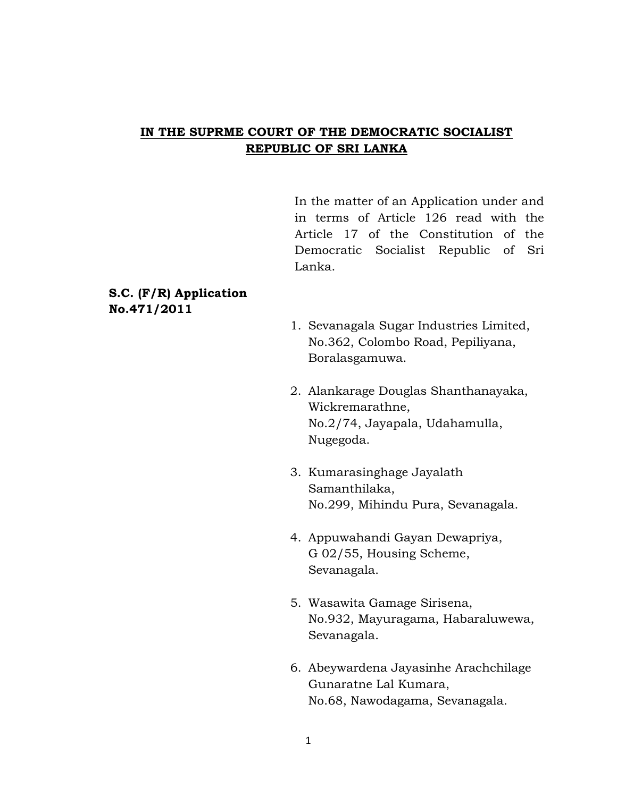# **IN THE SUPRME COURT OF THE DEMOCRATIC SOCIALIST REPUBLIC OF SRI LANKA**

In the matter of an Application under and in terms of Article 126 read with the Article 17 of the Constitution of the Democratic Socialist Republic of Sri Lanka.

## **S.C. (F/R) Application No.471/2011**

- 1. Sevanagala Sugar Industries Limited, No.362, Colombo Road, Pepiliyana, Boralasgamuwa.
- 2. Alankarage Douglas Shanthanayaka, Wickremarathne, No.2/74, Jayapala, Udahamulla, Nugegoda.
- 3. Kumarasinghage Jayalath Samanthilaka, No.299, Mihindu Pura, Sevanagala.
- 4. Appuwahandi Gayan Dewapriya, G 02/55, Housing Scheme, Sevanagala.
- 5. Wasawita Gamage Sirisena, No.932, Mayuragama, Habaraluwewa, Sevanagala.
- 6. Abeywardena Jayasinhe Arachchilage Gunaratne Lal Kumara, No.68, Nawodagama, Sevanagala.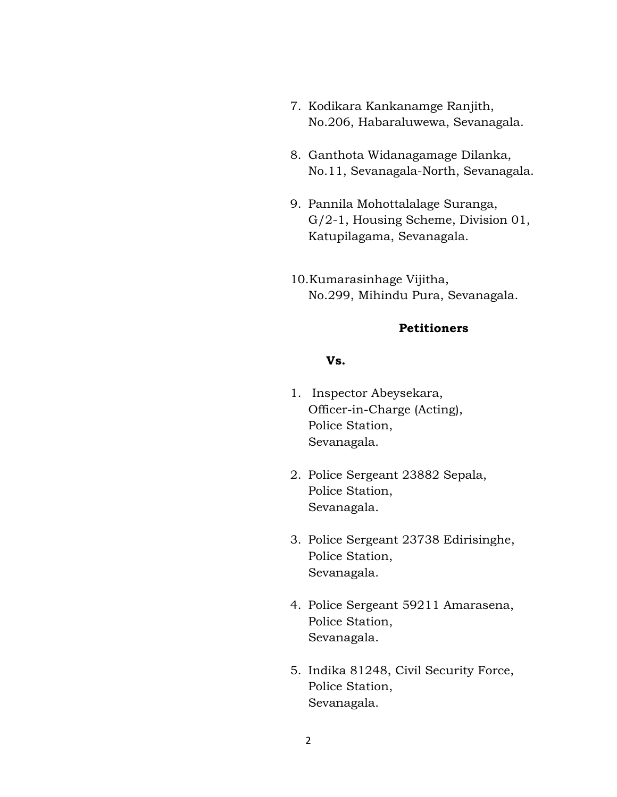- 7. Kodikara Kankanamge Ranjith, No.206, Habaraluwewa, Sevanagala.
- 8. Ganthota Widanagamage Dilanka, No.11, Sevanagala-North, Sevanagala.
- 9. Pannila Mohottalalage Suranga, G/2-1, Housing Scheme, Division 01, Katupilagama, Sevanagala.
- 10.Kumarasinhage Vijitha, No.299, Mihindu Pura, Sevanagala.

### **Petitioners**

### **Vs.**

- 1. Inspector Abeysekara, Officer-in-Charge (Acting), Police Station, Sevanagala.
- 2. Police Sergeant 23882 Sepala, Police Station, Sevanagala.
- 3. Police Sergeant 23738 Edirisinghe, Police Station, Sevanagala.
- 4. Police Sergeant 59211 Amarasena, Police Station, Sevanagala.
- 5. Indika 81248, Civil Security Force, Police Station, Sevanagala.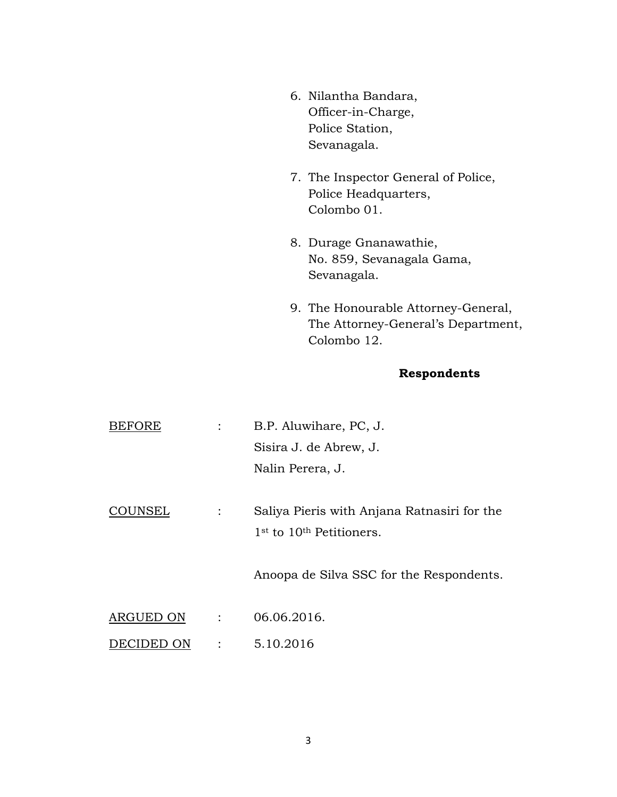- 6. Nilantha Bandara, Officer-in-Charge, Police Station, Sevanagala.
- 7. The Inspector General of Police, Police Headquarters, Colombo 01.
- 8. Durage Gnanawathie, No. 859, Sevanagala Gama, Sevanagala.
- 9. The Honourable Attorney-General, The Attorney-General's Department, Colombo 12.

# **Respondents**

| <b>BEFORE</b> | $\ddot{\cdot}$ | B.P. Aluwihare, PC, J.                                                                          |
|---------------|----------------|-------------------------------------------------------------------------------------------------|
|               |                | Sisira J. de Abrew, J.                                                                          |
|               |                | Nalin Perera, J.                                                                                |
| COUNSEL       |                | Saliya Pieris with Anjana Ratnasiri for the<br>1 <sup>st</sup> to 10 <sup>th</sup> Petitioners. |
|               |                | Anoopa de Silva SSC for the Respondents.                                                        |
| ARGUED ON     | $\ddot{\cdot}$ | 06.06.2016.                                                                                     |
| DECIDED ON    | $\ddot{\cdot}$ | 5.10.2016                                                                                       |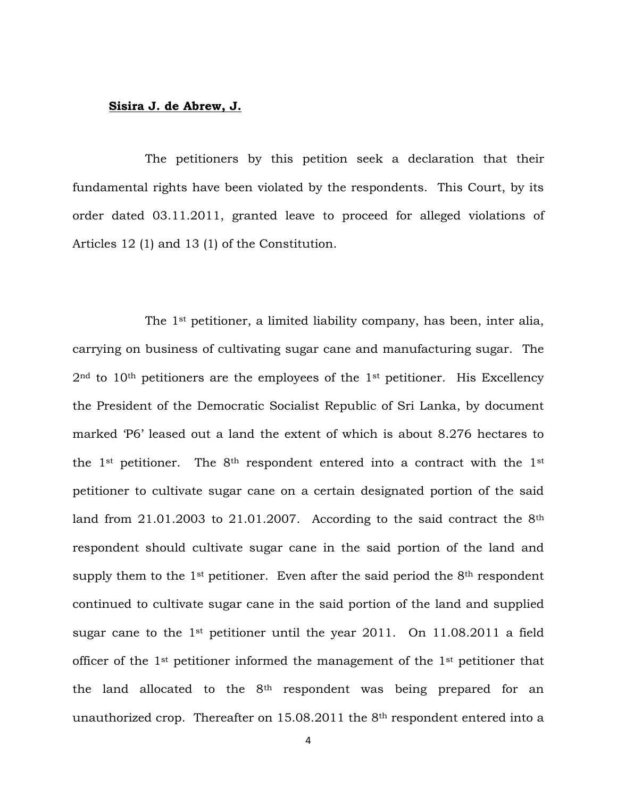#### **Sisira J. de Abrew, J.**

The petitioners by this petition seek a declaration that their fundamental rights have been violated by the respondents. This Court, by its order dated 03.11.2011, granted leave to proceed for alleged violations of Articles 12 (1) and 13 (1) of the Constitution.

The 1st petitioner, a limited liability company, has been, inter alia, carrying on business of cultivating sugar cane and manufacturing sugar. The  $2<sup>nd</sup>$  to  $10<sup>th</sup>$  petitioners are the employees of the 1<sup>st</sup> petitioner. His Excellency the President of the Democratic Socialist Republic of Sri Lanka, by document marked "P6" leased out a land the extent of which is about 8.276 hectares to the 1<sup>st</sup> petitioner. The 8<sup>th</sup> respondent entered into a contract with the 1<sup>st</sup> petitioner to cultivate sugar cane on a certain designated portion of the said land from  $21.01.2003$  to  $21.01.2007$ . According to the said contract the  $8<sup>th</sup>$ respondent should cultivate sugar cane in the said portion of the land and supply them to the  $1<sup>st</sup>$  petitioner. Even after the said period the  $8<sup>th</sup>$  respondent continued to cultivate sugar cane in the said portion of the land and supplied sugar cane to the 1<sup>st</sup> petitioner until the year 2011. On 11.08.2011 a field officer of the 1st petitioner informed the management of the 1st petitioner that the land allocated to the 8<sup>th</sup> respondent was being prepared for an unauthorized crop. Thereafter on 15.08.2011 the 8th respondent entered into a

4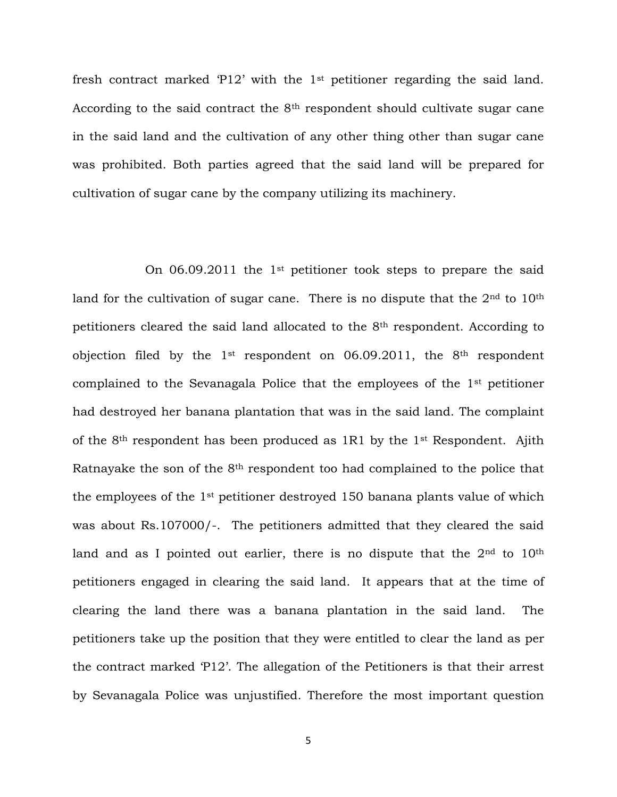fresh contract marked 'P12' with the  $1<sup>st</sup>$  petitioner regarding the said land. According to the said contract the 8<sup>th</sup> respondent should cultivate sugar cane in the said land and the cultivation of any other thing other than sugar cane was prohibited. Both parties agreed that the said land will be prepared for cultivation of sugar cane by the company utilizing its machinery.

On  $06.09.2011$  the 1<sup>st</sup> petitioner took steps to prepare the said land for the cultivation of sugar cane. There is no dispute that the  $2<sup>nd</sup>$  to  $10<sup>th</sup>$ petitioners cleared the said land allocated to the 8th respondent. According to objection filed by the  $1^{st}$  respondent on 06.09.2011, the  $8^{th}$  respondent complained to the Sevanagala Police that the employees of the 1st petitioner had destroyed her banana plantation that was in the said land. The complaint of the 8th respondent has been produced as 1R1 by the 1st Respondent. Ajith Ratnayake the son of the 8th respondent too had complained to the police that the employees of the 1st petitioner destroyed 150 banana plants value of which was about Rs.107000/-. The petitioners admitted that they cleared the said land and as I pointed out earlier, there is no dispute that the 2<sup>nd</sup> to 10<sup>th</sup> petitioners engaged in clearing the said land. It appears that at the time of clearing the land there was a banana plantation in the said land. The petitioners take up the position that they were entitled to clear the land as per the contract marked "P12". The allegation of the Petitioners is that their arrest by Sevanagala Police was unjustified. Therefore the most important question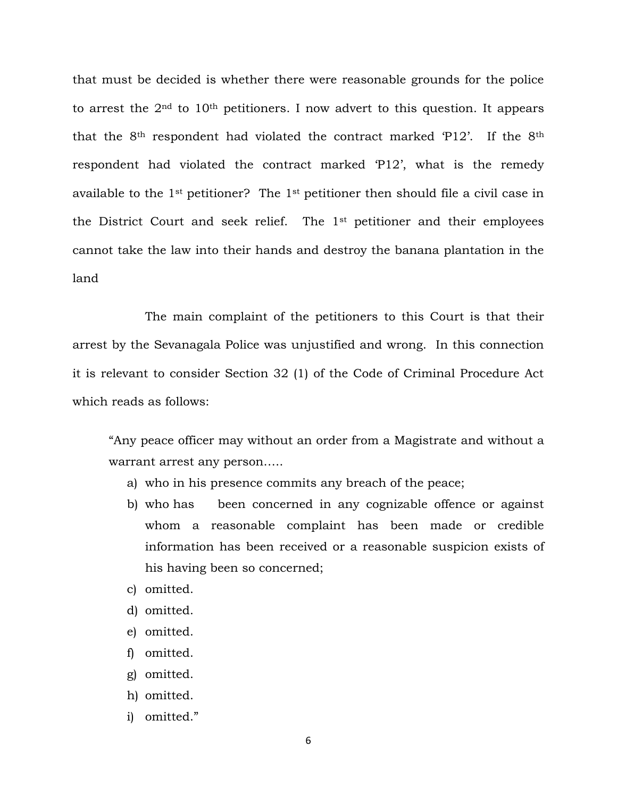that must be decided is whether there were reasonable grounds for the police to arrest the  $2<sup>nd</sup>$  to  $10<sup>th</sup>$  petitioners. I now advert to this question. It appears that the 8th respondent had violated the contract marked "P12". If the 8th respondent had violated the contract marked "P12", what is the remedy available to the 1st petitioner? The 1st petitioner then should file a civil case in the District Court and seek relief. The 1st petitioner and their employees cannot take the law into their hands and destroy the banana plantation in the land

The main complaint of the petitioners to this Court is that their arrest by the Sevanagala Police was unjustified and wrong. In this connection it is relevant to consider Section 32 (1) of the Code of Criminal Procedure Act which reads as follows:

"Any peace officer may without an order from a Magistrate and without a warrant arrest any person…..

- a) who in his presence commits any breach of the peace;
- b) who has been concerned in any cognizable offence or against whom a reasonable complaint has been made or credible information has been received or a reasonable suspicion exists of his having been so concerned;
- c) omitted.
- d) omitted.
- e) omitted.
- f) omitted.
- g) omitted.
- h) omitted.
- i) omitted."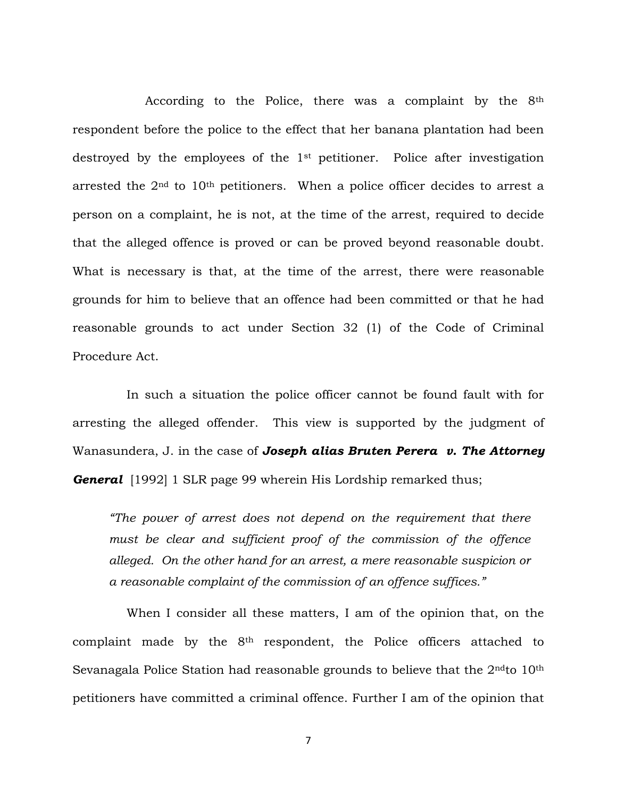According to the Police, there was a complaint by the 8th respondent before the police to the effect that her banana plantation had been destroyed by the employees of the 1st petitioner. Police after investigation arrested the  $2<sup>nd</sup>$  to  $10<sup>th</sup>$  petitioners. When a police officer decides to arrest a person on a complaint, he is not, at the time of the arrest, required to decide that the alleged offence is proved or can be proved beyond reasonable doubt. What is necessary is that, at the time of the arrest, there were reasonable grounds for him to believe that an offence had been committed or that he had reasonable grounds to act under Section 32 (1) of the Code of Criminal Procedure Act.

 In such a situation the police officer cannot be found fault with for arresting the alleged offender. This view is supported by the judgment of Wanasundera, J. in the case of *Joseph alias Bruten Perera v. The Attorney General* [1992] 1 SLR page 99 wherein His Lordship remarked thus;

*"The power of arrest does not depend on the requirement that there must be clear and sufficient proof of the commission of the offence alleged. On the other hand for an arrest, a mere reasonable suspicion or a reasonable complaint of the commission of an offence suffices."*

 When I consider all these matters, I am of the opinion that, on the complaint made by the 8th respondent, the Police officers attached to Sevanagala Police Station had reasonable grounds to believe that the 2<sup>nd</sup>to 10<sup>th</sup> petitioners have committed a criminal offence. Further I am of the opinion that